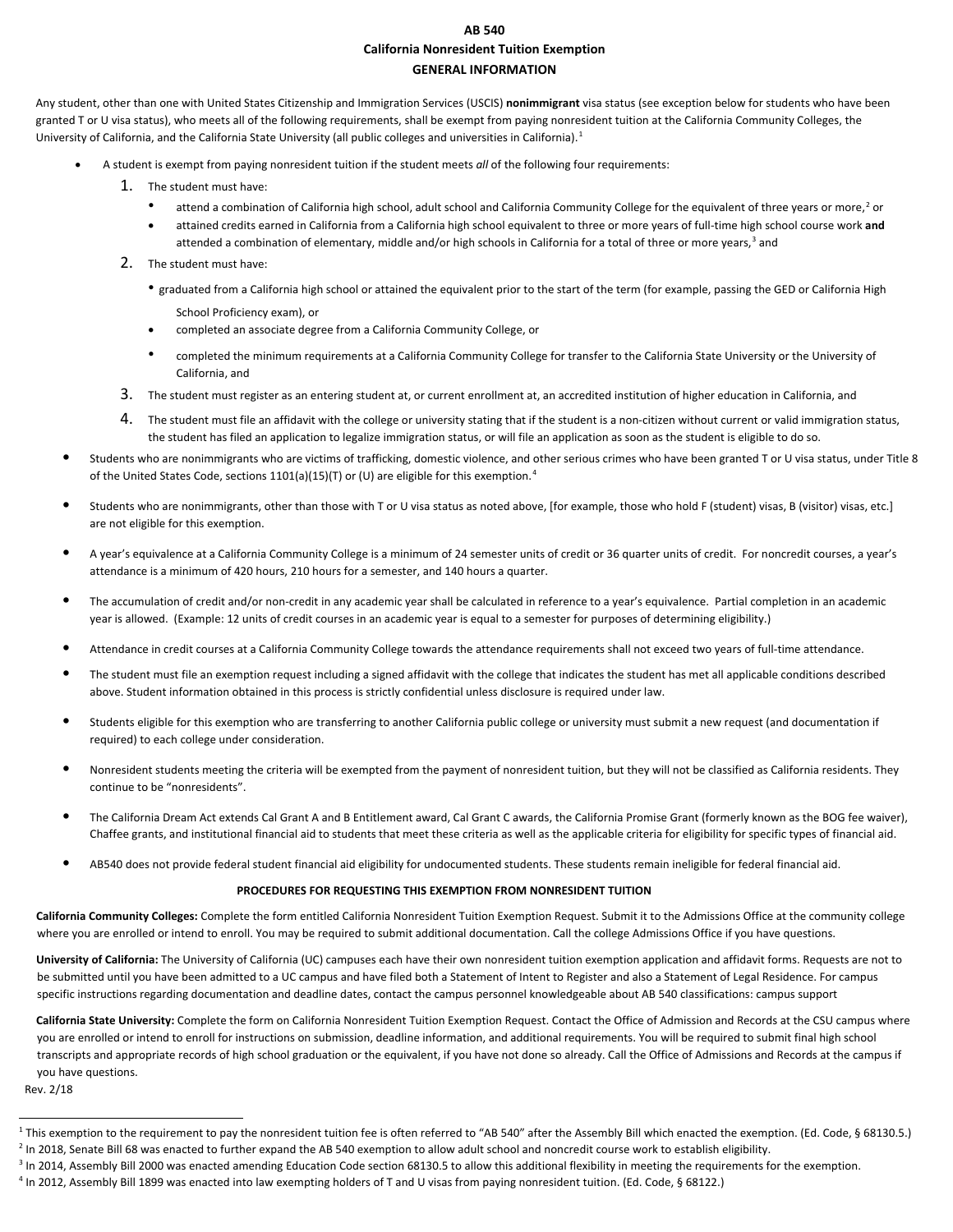#### **AB 540 California Nonresident Tuition Exemption GENERAL INFORMATION**

Any student, other than one with United States Citizenship and Immigration Services (USCIS) **nonimmigrant** visa status (see exception below for students who have been granted T or U visa status), who meets all of the following requirements, shall be exempt from paying nonresident tuition at the California Community Colleges, the University of California, and the California State University (all public colleges and universities in California).<sup>[1](#page-0-0)</sup>

- A student is exempt from paying nonresident tuition if the student meets *all* of the following four requirements:
	- 1. The student must have:
		- attend a combination of California high school, adult school and California Community College for the equivalent of three years or more,<sup>[2](#page-0-1)</sup> or
		- attained credits earned in California from a California high school equivalent to three or more years of full-time high school course work **and**  attended a combination of elementary, middle and/or high schools in California for a total of three or more years,<sup>[3](#page-0-2)</sup> and
	- 2. The student must have:
		- graduated from a California high school or attained the equivalent prior to the start of the term (for example, passing the GED or California High School Proficiency exam), or
		- completed an associate degree from a California Community College, or
		- completed the minimum requirements at a California Community College for transfer to the California State University or the University of California, and
	- 3. The student must register as an entering student at, or current enrollment at, an accredited institution of higher education in California, and
	- 4. The student must file an affidavit with the college or university stating that if the student is a non-citizen without current or valid immigration status, the student has filed an application to legalize immigration status, or will file an application as soon as the student is eligible to do so.
- Students who are nonimmigrants who are victims of trafficking, domestic violence, and other serious crimes who have been granted T or U visa status, under Title 8 of the United States Code, sections 1101(a)(15)(T) or (U) are eligible for this exemption.<sup>[4](#page-0-3)</sup>
- Students who are nonimmigrants, other than those with T or U visa status as noted above, [for example, those who hold F (student) visas, B (visitor) visas, etc.] are not eligible for this exemption.
- A year's equivalence at a California Community College is a minimum of 24 semester units of credit or 36 quarter units of credit. For noncredit courses, a year's attendance is a minimum of 420 hours, 210 hours for a semester, and 140 hours a quarter.
- The accumulation of credit and/or non-credit in any academic year shall be calculated in reference to a year's equivalence. Partial completion in an academic year is allowed. (Example: 12 units of credit courses in an academic year is equal to a semester for purposes of determining eligibility.)
- Attendance in credit courses at a California Community College towards the attendance requirements shall not exceed two years of full-time attendance.
- The student must file an exemption request including a signed affidavit with the college that indicates the student has met all applicable conditions described above. Student information obtained in this process is strictly confidential unless disclosure is required under law.
- Students eligible for this exemption who are transferring to another California public college or university must submit a new request (and documentation if required) to each college under consideration.
- Nonresident students meeting the criteria will be exempted from the payment of nonresident tuition, but they will not be classified as California residents. They continue to be "nonresidents".
- The California Dream Act extends Cal Grant A and B Entitlement award, Cal Grant C awards, the California Promise Grant (formerly known as the BOG fee waiver), Chaffee grants, and institutional financial aid to students that meet these criteria as well as the applicable criteria for eligibility for specific types of financial aid.
- AB540 does not provide federal student financial aid eligibility for undocumented students. These students remain ineligible for federal financial aid.

#### **PROCEDURES FOR REQUESTING THIS EXEMPTION FROM NONRESIDENT TUITION**

**California Community Colleges:** Complete the form entitled California Nonresident Tuition Exemption Request. Submit it to the Admissions Office at the community college where you are enrolled or intend to enroll. You may be required to submit additional documentation. Call the college Admissions Office if you have questions.

**University of California:** The University of California (UC) campuses each have their own nonresident tuition exemption application and affidavit forms. Requests are not to be submitted until you have been admitted to a UC campus and have filed both a Statement of Intent to Register and also a Statement of Legal Residence. For campus specific instructions regarding documentation and deadline dates, contact the campus personnel knowledgeable about AB 540 classifications: campus suppor[t](http://undoc.universityofcalifornia.edu/campus-support.html) 

**California State University:** Complete the form on California Nonresident Tuition Exemption Request. Contact the Office of Admission and Records at the CSU campus where you are enrolled or intend to enroll for instructions on submission, deadline information, and additional requirements. You will be required to submit final high school transcripts and appropriate records of high school graduation or the equivalent, if you have not done so already. Call the Office of Admissions and Records at the campus if you have questions.

<span id="page-0-1"></span><span id="page-0-0"></span>Rev. 2/18

<span id="page-0-2"></span>.

<span id="page-0-3"></span><sup>&</sup>lt;sup>1</sup> This exemption to the requirement to pay the nonresident tuition fee is often referred to "AB 540" after the Assembly Bill which enacted the exemption. (Ed. Code, § 68130.5.)<br><sup>2</sup> In 2018, Senate Bill 68 was enacted to